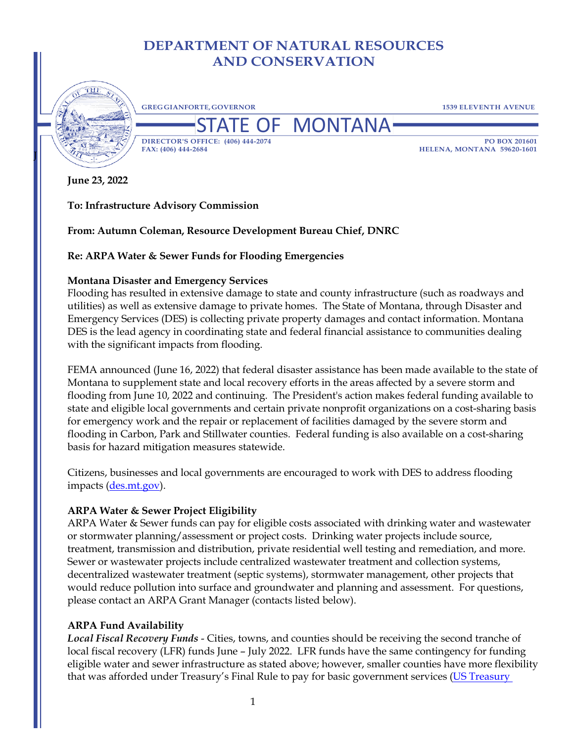# **DEPARTMENT OF NATURAL RESOURCES AND CONSERVATION**



**GREGGIANFORTE, GOVERNOR 1539 ELEVENTH AVENUE**

**DF MONTANA DIRECTOR'S OFFICE: (406) 444-2074 PO BOX 201601**

**FAX: (406) 444-2684 HELENA, MONTANA 59620-1601**

**June 23, 2022**

**To: Infrastructure Advisory Commission**

**From: Autumn Coleman, Resource Development Bureau Chief, DNRC**

**Re: ARPA Water & Sewer Funds for Flooding Emergencies**

### **Montana Disaster and Emergency Services**

Flooding has resulted in extensive damage to state and county infrastructure (such as roadways and utilities) as well as extensive damage to private homes. The State of Montana, through Disaster and Emergency Services (DES) is collecting private property damages and contact information. Montana DES is the lead agency in coordinating state and federal financial assistance to communities dealing with the significant impacts from flooding.

FEMA announced (June 16, 2022) that federal disaster assistance has been made available to the state of Montana to supplement state and local recovery efforts in the areas affected by a severe storm and flooding from June 10, 2022 and continuing. The President's action makes federal funding available to state and eligible local governments and certain private nonprofit organizations on a cost-sharing basis for emergency work and the repair or replacement of facilities damaged by the severe storm and flooding in Carbon, Park and Stillwater counties. Federal funding is also available on a cost-sharing basis for hazard mitigation measures statewide.

Citizens, businesses and local governments are encouraged to work with DES to address flooding impacts (des.mt.gov).

# **ARPA Water & Sewer Project Eligibility**

ARPA Water & Sewer funds can pay for eligible costs associated with drinking water and wastewater or stormwater planning/assessment or project costs. Drinking water projects include source, treatment, transmission and distribution, private residential well testing and remediation, and more. Sewer or wastewater projects include centralized wastewater treatment and collection systems, decentralized wastewater treatment (septic systems), stormwater management, other projects that would reduce pollution into surface and groundwater and planning and assessment. For questions, please contact an ARPA Grant Manager (contacts listed below).

# **ARPA Fund Availability**

*Local Fiscal Recovery Funds* - Cities, towns, and counties should be receiving the second tranche of local fiscal recovery (LFR) funds June – July 2022. LFR funds have the same contingency for funding eligible water and sewer infrastructure as stated above; however, smaller counties have more flexibility that was afforded under Treasury's Final Rule to pay for basic government services [\(US Treasury](https://home.treasury.gov/system/files/136/SLFRF-Final-Rule-FAQ.pdf)